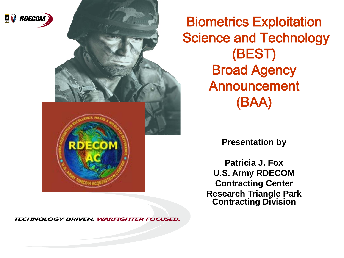

Biometrics Exploitation Science and Technology (BEST) Broad Agency Announcement (BAA)

#### **Presentation by**

**Patricia J. Fox U.S. Army RDECOM Contracting Center Research Triangle Park Contracting Division**

TECHNOLOGY DRIVEN. WARFIGHTER FOCUSED.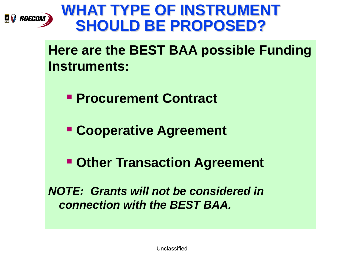

### **WHAT TYPE OF INSTRUMENT SHOULD BE PROPOSED?**

**Here are the BEST BAA possible Funding Instruments:** 

**Procurement Contract**

**Cooperative Agreement**

**Other Transaction Agreement**

*NOTE: Grants will not be considered in connection with the BEST BAA.*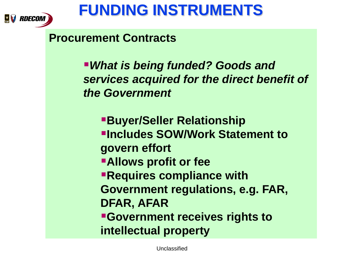

#### **Procurement Contracts**

*What is being funded? Goods and services acquired for the direct benefit of the Government*

**Buyer/Seller Relationship Includes SOW/Work Statement to govern effort Allows profit or fee Requires compliance with Government regulations, e.g. FAR, DFAR, AFAR Government receives rights to intellectual property**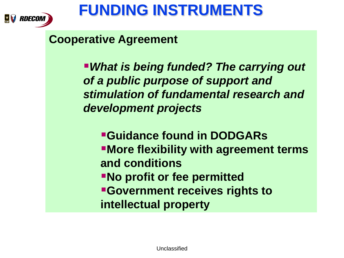

#### **Cooperative Agreement**

*What is being funded? The carrying out of a public purpose of support and stimulation of fundamental research and development projects*

**Guidance found in DODGARs More flexibility with agreement terms and conditions No profit or fee permitted Government receives rights to intellectual property**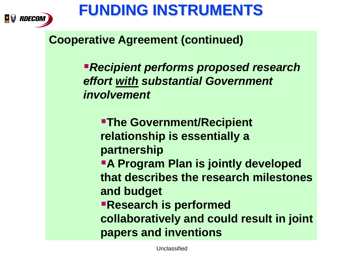

#### **Cooperative Agreement (continued)**

*Recipient performs proposed research effort with substantial Government involvement*

**The Government/Recipient relationship is essentially a partnership A Program Plan is jointly developed that describes the research milestones and budget Research is performed collaboratively and could result in joint papers and inventions**